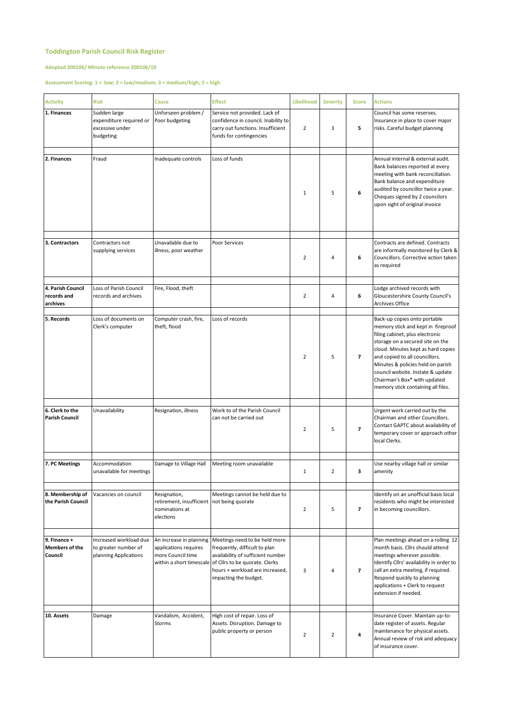## **Toddington Parish Council Risk Register**

## **Adopted 200106/ Minute reference 200106/10**

## **Assessment Scoring: 1 = low; 2 = low/medium; 3 = medium/high; 5 = high**

| <b>Activity</b>                                  | <b>Risk</b>                                                             | Cause                                                                                     | <b>Effect</b>                                                                                                                                                                                                                                      | Likelihood     | <b>Severity</b> | <b>Score</b>            | <b>Actions</b>                                                                                                                                                                                                                                                                                                                                                    |
|--------------------------------------------------|-------------------------------------------------------------------------|-------------------------------------------------------------------------------------------|----------------------------------------------------------------------------------------------------------------------------------------------------------------------------------------------------------------------------------------------------|----------------|-----------------|-------------------------|-------------------------------------------------------------------------------------------------------------------------------------------------------------------------------------------------------------------------------------------------------------------------------------------------------------------------------------------------------------------|
| 1. Finances                                      | Sudden large<br>expenditure required or<br>excessive under<br>budgeting | Unforseen problem /<br>Poor budgeting                                                     | Service not provided. Lack of<br>confidence in council. Inability to<br>carry out functions. Insufficient<br>funds for contingencies                                                                                                               | $\overline{2}$ | 3               | 5                       | Council has some reserves.<br>Insurance in place to cover major<br>risks. Careful budget planning                                                                                                                                                                                                                                                                 |
|                                                  |                                                                         |                                                                                           |                                                                                                                                                                                                                                                    |                |                 |                         |                                                                                                                                                                                                                                                                                                                                                                   |
| 2. Finances                                      | Fraud                                                                   | Inadequate controls                                                                       | Loss of funds                                                                                                                                                                                                                                      | $\mathbf{1}$   | 5               | 6                       | Annual internal & external audit.<br>Bank balances reported at every<br>meeting with bank reconciliation.<br>Bank balance and expenditure<br>audited by councillor twice a year.<br>Cheques signed by 2 councilors<br>upon sight of original invoice                                                                                                              |
|                                                  |                                                                         |                                                                                           |                                                                                                                                                                                                                                                    |                |                 |                         |                                                                                                                                                                                                                                                                                                                                                                   |
| 3. Contractors                                   | Contractors not<br>supplying services                                   | Unavailable due to<br>illness, poor weather                                               | Poor Services                                                                                                                                                                                                                                      | $\overline{2}$ | 4               | 6                       | Contracts are defined. Contracts<br>are informally monitored by Clerk &<br>Councillors. Corrective action taken<br>as required                                                                                                                                                                                                                                    |
|                                                  |                                                                         |                                                                                           |                                                                                                                                                                                                                                                    |                |                 |                         |                                                                                                                                                                                                                                                                                                                                                                   |
| 4. Parish Council<br>records and<br>archives     | Loss of Parish Council<br>records and archives                          | Fire, Flood, theft                                                                        |                                                                                                                                                                                                                                                    | $\overline{2}$ | 4               | 6                       | Lodge archived records with<br>Gloucestershire County Council's<br><b>Archives Office</b>                                                                                                                                                                                                                                                                         |
| 5. Records                                       | Loss of documents on<br>Clerk's computer                                | Computer crash, fire,<br>theft, flood                                                     | Loss of records                                                                                                                                                                                                                                    | $\overline{2}$ | 5               | $\overline{7}$          | Back-up copies onto portable<br>memory stick and kept in fireproof<br>filing cabinet, plus electronic<br>storage on a secured site on the<br>cloud. Minutes kept as hard copies<br>and copied to all councillors.<br>Minutes & policies held on parish<br>council website. Instate & update<br>Chairman's Box* with updated<br>memory stick containing all files. |
| 6. Clerk to the<br><b>Parish Council</b>         | Unavailability                                                          | Resignation, illness                                                                      | Work to of the Parish Council<br>can not be carried out                                                                                                                                                                                            | $\overline{2}$ | 5               | $\overline{\mathbf{z}}$ | Urgent work carried out by the<br>Chairman and other Councillors.<br>Contact GAPTC about availability of<br>temporary cover or approach other<br>local Clerks.                                                                                                                                                                                                    |
|                                                  |                                                                         |                                                                                           |                                                                                                                                                                                                                                                    |                |                 |                         |                                                                                                                                                                                                                                                                                                                                                                   |
| 7. PC Meetings                                   | Accommodation<br>unavailable for meetings                               | Damage to Village Hall                                                                    | Meeting room unavailable                                                                                                                                                                                                                           | $\mathbf{1}$   | $\overline{2}$  | з                       | Use nearby village hall or similar<br>amenity                                                                                                                                                                                                                                                                                                                     |
| 8. Membership of<br>the Parish Council           | Vacancies on council                                                    | Resignation,<br>retirement, insufficient not being quorate<br>nominations at<br>elections | Meetings cannot be held due to                                                                                                                                                                                                                     | $\overline{2}$ | 5               | $\overline{7}$          | Identify on an unofficial basis local<br>residents who might be interested<br>in becoming councillors.                                                                                                                                                                                                                                                            |
| 9. Finance +<br><b>Members of the</b><br>Council | Increased workload due<br>to greater number of<br>planning Applications | applications requires<br>more Council time                                                | An increase in planning Meetings need to be held more<br>frequently, difficult to plan<br>availability of sufficient number<br>within a short timescale of Cllrs to be quorate. Clerks<br>hours + workload are increased,<br>impacting the budget. | 3              | 4               | $\overline{7}$          | Plan meetings ahead on a rolling 12<br>month basis. Cllrs should attend<br>meetings wherever possible.<br>Identify Cllrs' availability in order to<br>call an extra meeting, if required.<br>Respond quickly to planning<br>applications + Clerk to request<br>extension if needed.                                                                               |
|                                                  |                                                                         |                                                                                           |                                                                                                                                                                                                                                                    |                |                 |                         |                                                                                                                                                                                                                                                                                                                                                                   |
| 10. Assets                                       | Damage                                                                  | Vandalism, Accident,<br>Storms                                                            | High cost of repair. Loss of<br>Assets. Disruption. Damage to<br>public property or person                                                                                                                                                         | $\overline{2}$ | $\overline{2}$  | 4                       | Insurance Cover. Maintain up-to-<br>date register of assets. Regular<br>maintenance for physical assets.<br>Annual review of risk and adequacy<br>of insurance cover.                                                                                                                                                                                             |